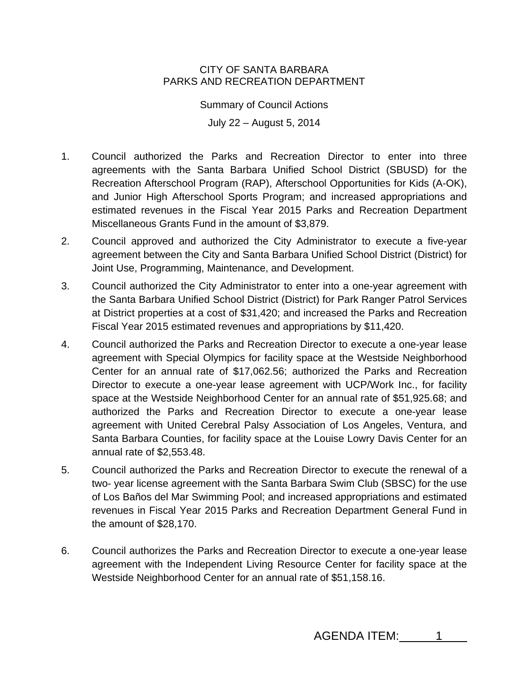## CITY OF SANTA BARBARA PARKS AND RECREATION DEPARTMENT

Summary of Council Actions July 22 – August 5, 2014

- 1. Council authorized the Parks and Recreation Director to enter into three agreements with the Santa Barbara Unified School District (SBUSD) for the Recreation Afterschool Program (RAP), Afterschool Opportunities for Kids (A-OK), and Junior High Afterschool Sports Program; and increased appropriations and estimated revenues in the Fiscal Year 2015 Parks and Recreation Department Miscellaneous Grants Fund in the amount of \$3,879.
- 2. Council approved and authorized the City Administrator to execute a five-year agreement between the City and Santa Barbara Unified School District (District) for Joint Use, Programming, Maintenance, and Development.
- 3. Council authorized the City Administrator to enter into a one-year agreement with the Santa Barbara Unified School District (District) for Park Ranger Patrol Services at District properties at a cost of \$31,420; and increased the Parks and Recreation Fiscal Year 2015 estimated revenues and appropriations by \$11,420.
- 4. Council authorized the Parks and Recreation Director to execute a one-year lease agreement with Special Olympics for facility space at the Westside Neighborhood Center for an annual rate of \$17,062.56; authorized the Parks and Recreation Director to execute a one-year lease agreement with UCP/Work Inc., for facility space at the Westside Neighborhood Center for an annual rate of \$51,925.68; and authorized the Parks and Recreation Director to execute a one-year lease agreement with United Cerebral Palsy Association of Los Angeles, Ventura, and Santa Barbara Counties, for facility space at the Louise Lowry Davis Center for an annual rate of \$2,553.48.
- 5. Council authorized the Parks and Recreation Director to execute the renewal of a two- year license agreement with the Santa Barbara Swim Club (SBSC) for the use of Los Baños del Mar Swimming Pool; and increased appropriations and estimated revenues in Fiscal Year 2015 Parks and Recreation Department General Fund in the amount of \$28,170.
- 6. Council authorizes the Parks and Recreation Director to execute a one-year lease agreement with the Independent Living Resource Center for facility space at the Westside Neighborhood Center for an annual rate of \$51,158.16.

AGENDA ITEM: 1